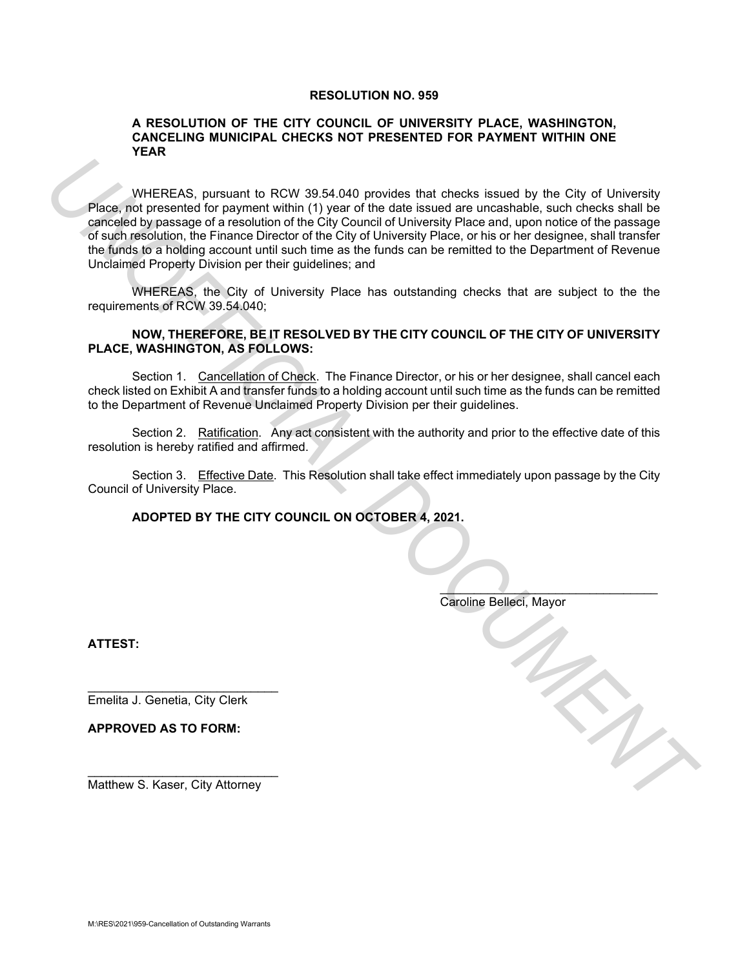#### **RESOLUTION NO. 959**

#### **A RESOLUTION OF THE CITY COUNCIL OF UNIVERSITY PLACE, WASHINGTON, CANCELING MUNICIPAL CHECKS NOT PRESENTED FOR PAYMENT WITHIN ONE YEAR**

WHEREAS, pursuant to RCW 39.54.040 provides that checks issued by the City of University Place, not presented for payment within (1) year of the date issued are uncashable, such checks shall be canceled by passage of a resolution of the City Council of University Place and, upon notice of the passage of such resolution, the Finance Director of the City of University Place, or his or her designee, shall transfer the funds to a holding account until such time as the funds can be remitted to the Department of Revenue Unclaimed Property Division per their guidelines; and WHEREAS, pursuant to RCW 30.54,040 provides that checks issued by the City of University<br>
Place into presented for payment within (1) year of the date issued we uncertainted, such checks shall be<br>
careforcing places by in

WHEREAS, the City of University Place has outstanding checks that are subject to the the requirements of RCW 39.54.040;

### **NOW, THEREFORE, BE IT RESOLVED BY THE CITY COUNCIL OF THE CITY OF UNIVERSITY PLACE, WASHINGTON, AS FOLLOWS:**

Section 1. Cancellation of Check. The Finance Director, or his or her designee, shall cancel each check listed on Exhibit A and transfer funds to a holding account until such time as the funds can be remitted to the Department of Revenue Unclaimed Property Division per their guidelines.

Section 2. Ratification. Any act consistent with the authority and prior to the effective date of this resolution is hereby ratified and affirmed.

Section 3. Effective Date. This Resolution shall take effect immediately upon passage by the City Council of University Place.

#### **ADOPTED BY THE CITY COUNCIL ON OCTOBER 4, 2021.**

| Caroline Belleci, Mayor |
|-------------------------|

**ATTEST:**

\_\_\_\_\_\_\_\_\_\_\_\_\_\_\_\_\_\_\_\_\_\_\_\_\_\_\_\_ Emelita J. Genetia, City Clerk

**APPROVED AS TO FORM:**

\_\_\_\_\_\_\_\_\_\_\_\_\_\_\_\_\_\_\_\_\_\_\_\_\_\_\_\_ Matthew S. Kaser, City Attorney